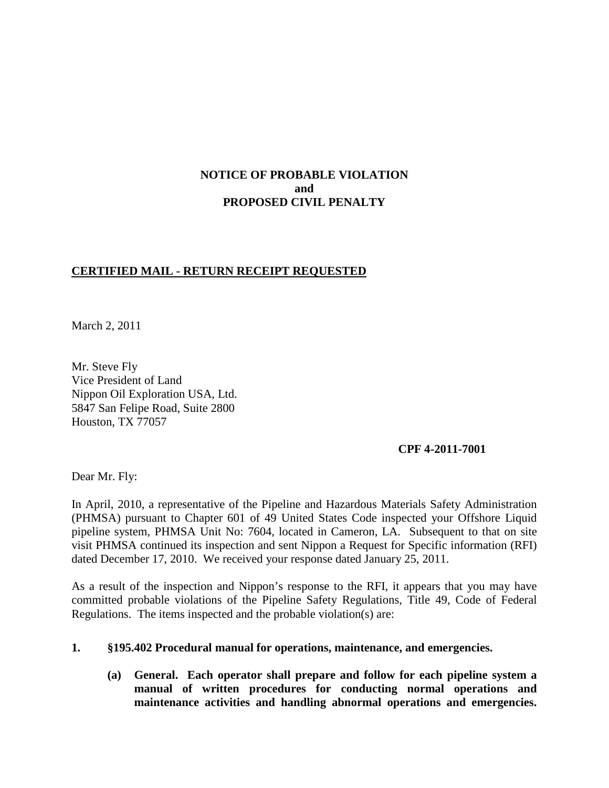# **NOTICE OF PROBABLE VIOLATION and PROPOSED CIVIL PENALTY**

# **CERTIFIED MAIL - RETURN RECEIPT REQUESTED**

March 2, 2011

Mr. Steve Fly Vice President of Land Nippon Oil Exploration USA, Ltd. 5847 San Felipe Road, Suite 2800 Houston, TX 77057

### **CPF 4-2011-7001**

Dear Mr. Fly:

In April, 2010, a representative of the Pipeline and Hazardous Materials Safety Administration (PHMSA) pursuant to Chapter 601 of 49 United States Code inspected your Offshore Liquid pipeline system, PHMSA Unit No: 7604, located in Cameron, LA. Subsequent to that on site visit PHMSA continued its inspection and sent Nippon a Request for Specific information (RFI) dated December 17, 2010. We received your response dated January 25, 2011.

As a result of the inspection and Nippon's response to the RFI, it appears that you may have committed probable violations of the Pipeline Safety Regulations, Title 49, Code of Federal Regulations. The items inspected and the probable violation(s) are:

### **1. §195.402 Procedural manual for operations, maintenance, and emergencies.**

**(a) General. Each operator shall prepare and follow for each pipeline system a manual of written procedures for conducting normal operations and maintenance activities and handling abnormal operations and emergencies.**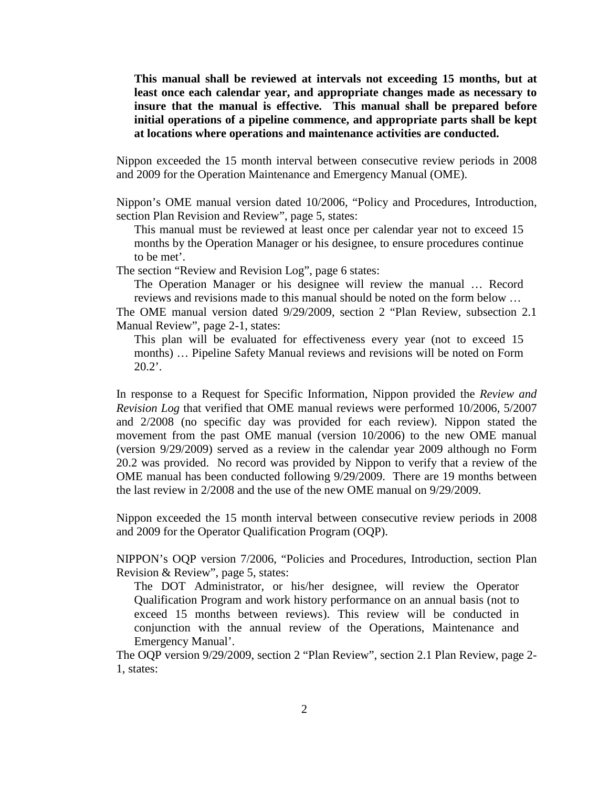**This manual shall be reviewed at intervals not exceeding 15 months, but at least once each calendar year, and appropriate changes made as necessary to insure that the manual is effective. This manual shall be prepared before initial operations of a pipeline commence, and appropriate parts shall be kept at locations where operations and maintenance activities are conducted.** 

Nippon exceeded the 15 month interval between consecutive review periods in 2008 and 2009 for the Operation Maintenance and Emergency Manual (OME).

Nippon's OME manual version dated 10/2006, "Policy and Procedures, Introduction, section Plan Revision and Review", page 5, states:

This manual must be reviewed at least once per calendar year not to exceed 15 months by the Operation Manager or his designee, to ensure procedures continue to be met'.

The section "Review and Revision Log", page 6 states:

The Operation Manager or his designee will review the manual … Record reviews and revisions made to this manual should be noted on the form below …

The OME manual version dated 9/29/2009, section 2 "Plan Review, subsection 2.1 Manual Review", page 2-1, states:

This plan will be evaluated for effectiveness every year (not to exceed 15 months) … Pipeline Safety Manual reviews and revisions will be noted on Form 20.2'.

In response to a Request for Specific Information, Nippon provided the *Review and Revision Log* that verified that OME manual reviews were performed 10/2006, 5/2007 and 2/2008 (no specific day was provided for each review). Nippon stated the movement from the past OME manual (version 10/2006) to the new OME manual (version 9/29/2009) served as a review in the calendar year 2009 although no Form 20.2 was provided. No record was provided by Nippon to verify that a review of the OME manual has been conducted following 9/29/2009. There are 19 months between the last review in 2/2008 and the use of the new OME manual on 9/29/2009.

Nippon exceeded the 15 month interval between consecutive review periods in 2008 and 2009 for the Operator Qualification Program (OQP).

NIPPON's OQP version 7/2006, "Policies and Procedures, Introduction, section Plan Revision & Review", page 5, states:

The DOT Administrator, or his/her designee, will review the Operator Qualification Program and work history performance on an annual basis (not to exceed 15 months between reviews). This review will be conducted in conjunction with the annual review of the Operations, Maintenance and Emergency Manual'.

The OQP version 9/29/2009, section 2 "Plan Review", section 2.1 Plan Review, page 2- 1, states: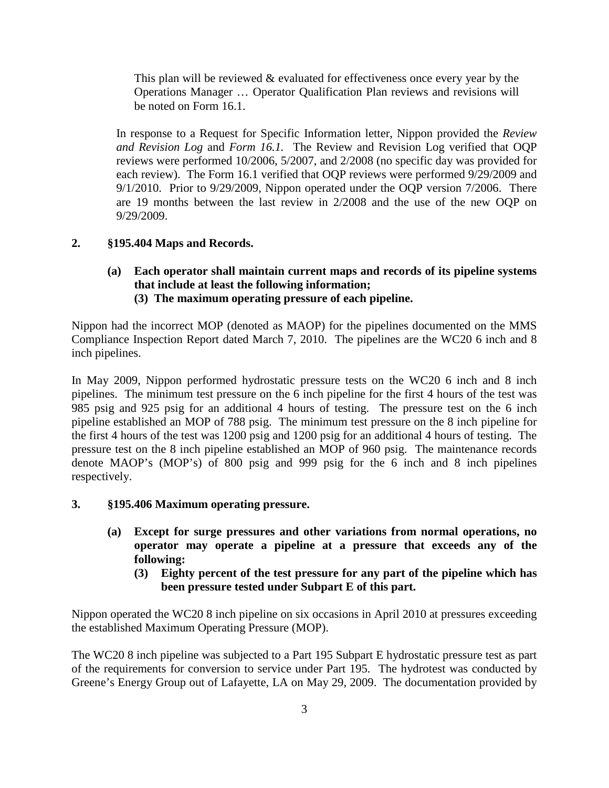This plan will be reviewed & evaluated for effectiveness once every year by the Operations Manager … Operator Qualification Plan reviews and revisions will be noted on Form 16.1.

In response to a Request for Specific Information letter, Nippon provided the *Review and Revision Log* and *Form 16.1.* The Review and Revision Log verified that OQP reviews were performed 10/2006, 5/2007, and 2/2008 (no specific day was provided for each review). The Form 16.1 verified that OQP reviews were performed 9/29/2009 and 9/1/2010. Prior to 9/29/2009, Nippon operated under the OQP version 7/2006. There are 19 months between the last review in 2/2008 and the use of the new OQP on 9/29/2009.

## **2. §195.404 Maps and Records.**

**(a) Each operator shall maintain current maps and records of its pipeline systems that include at least the following information; (3) The maximum operating pressure of each pipeline.**

Nippon had the incorrect MOP (denoted as MAOP) for the pipelines documented on the MMS Compliance Inspection Report dated March 7, 2010. The pipelines are the WC20 6 inch and 8 inch pipelines.

In May 2009, Nippon performed hydrostatic pressure tests on the WC20 6 inch and 8 inch pipelines. The minimum test pressure on the 6 inch pipeline for the first 4 hours of the test was 985 psig and 925 psig for an additional 4 hours of testing. The pressure test on the 6 inch pipeline established an MOP of 788 psig. The minimum test pressure on the 8 inch pipeline for the first 4 hours of the test was 1200 psig and 1200 psig for an additional 4 hours of testing. The pressure test on the 8 inch pipeline established an MOP of 960 psig. The maintenance records denote MAOP's (MOP's) of 800 psig and 999 psig for the 6 inch and 8 inch pipelines respectively.

- **3. §195.406 Maximum operating pressure.**
	- **(a) Except for surge pressures and other variations from normal operations, no operator may operate a pipeline at a pressure that exceeds any of the following:**
		- **(3) Eighty percent of the test pressure for any part of the pipeline which has been pressure tested under Subpart E of this part.**

Nippon operated the WC20 8 inch pipeline on six occasions in April 2010 at pressures exceeding the established Maximum Operating Pressure (MOP).

The WC20 8 inch pipeline was subjected to a Part 195 Subpart E hydrostatic pressure test as part of the requirements for conversion to service under Part 195. The hydrotest was conducted by Greene's Energy Group out of Lafayette, LA on May 29, 2009. The documentation provided by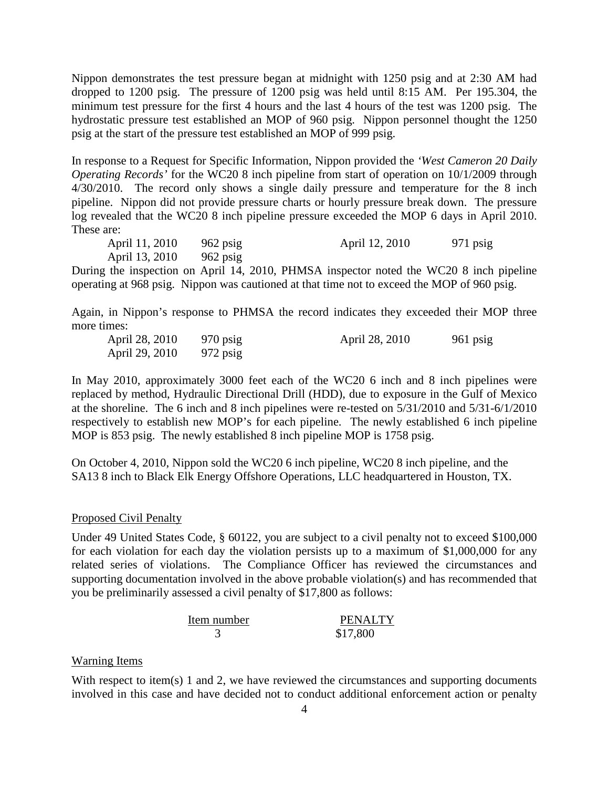Nippon demonstrates the test pressure began at midnight with 1250 psig and at 2:30 AM had dropped to 1200 psig. The pressure of 1200 psig was held until 8:15 AM. Per 195.304, the minimum test pressure for the first 4 hours and the last 4 hours of the test was 1200 psig. The hydrostatic pressure test established an MOP of 960 psig. Nippon personnel thought the 1250 psig at the start of the pressure test established an MOP of 999 psig.

In response to a Request for Specific Information, Nippon provided the *'West Cameron 20 Daily Operating Records'* for the WC20 8 inch pipeline from start of operation on 10/1/2009 through 4/30/2010. The record only shows a single daily pressure and temperature for the 8 inch pipeline. Nippon did not provide pressure charts or hourly pressure break down. The pressure log revealed that the WC20 8 inch pipeline pressure exceeded the MOP 6 days in April 2010. These are:

April 11, 2010 962 psig April 12, 2010 971 psig April 13, 2010 962 psig

During the inspection on April 14, 2010, PHMSA inspector noted the WC20 8 inch pipeline operating at 968 psig. Nippon was cautioned at that time not to exceed the MOP of 960 psig.

Again, in Nippon's response to PHMSA the record indicates they exceeded their MOP three more times:

| April 28, 2010 | $970$ psig | April 28, 2010 | $961$ psig |
|----------------|------------|----------------|------------|
| April 29, 2010 | $972$ psig |                |            |

In May 2010, approximately 3000 feet each of the WC20 6 inch and 8 inch pipelines were replaced by method, Hydraulic Directional Drill (HDD), due to exposure in the Gulf of Mexico at the shoreline. The 6 inch and 8 inch pipelines were re-tested on 5/31/2010 and 5/31-6/1/2010 respectively to establish new MOP's for each pipeline. The newly established 6 inch pipeline MOP is 853 psig. The newly established 8 inch pipeline MOP is 1758 psig.

On October 4, 2010, Nippon sold the WC20 6 inch pipeline, WC20 8 inch pipeline, and the SA13 8 inch to Black Elk Energy Offshore Operations, LLC headquartered in Houston, TX.

#### Proposed Civil Penalty

Under 49 United States Code, § 60122, you are subject to a civil penalty not to exceed \$100,000 for each violation for each day the violation persists up to a maximum of \$1,000,000 for any related series of violations. The Compliance Officer has reviewed the circumstances and supporting documentation involved in the above probable violation(s) and has recommended that you be preliminarily assessed a civil penalty of \$17,800 as follows:

Item number PENALTY 3 \$17,800

#### Warning Items

With respect to item(s) 1 and 2, we have reviewed the circumstances and supporting documents involved in this case and have decided not to conduct additional enforcement action or penalty